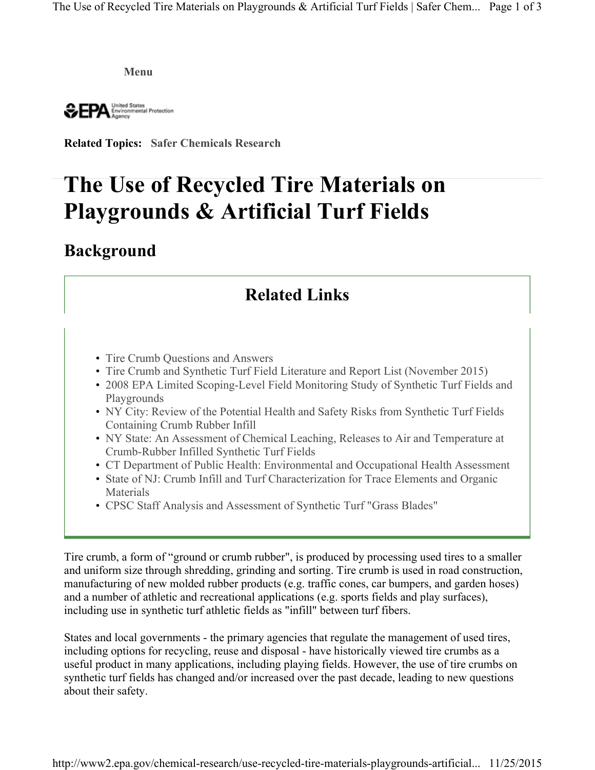**Menu**

United States<br>Environmental Protection **SEPA** 

**Related Topics: Safer Chemicals Research**

# **The Use of Recycled Tire Materials on Playgrounds & Artificial Turf Fields**

### **Background**

## **Related Links**

- Tire Crumb Questions and Answers
- Tire Crumb and Synthetic Turf Field Literature and Report List (November 2015)
- 2008 EPA Limited Scoping-Level Field Monitoring Study of Synthetic Turf Fields and Playgrounds
- NY City: Review of the Potential Health and Safety Risks from Synthetic Turf Fields Containing Crumb Rubber Infill
- NY State: An Assessment of Chemical Leaching, Releases to Air and Temperature at Crumb-Rubber Infilled Synthetic Turf Fields
- CT Department of Public Health: Environmental and Occupational Health Assessment
- State of NJ: Crumb Infill and Turf Characterization for Trace Elements and Organic Materials
- CPSC Staff Analysis and Assessment of Synthetic Turf "Grass Blades"

Tire crumb, a form of "ground or crumb rubber", is produced by processing used tires to a smaller and uniform size through shredding, grinding and sorting. Tire crumb is used in road construction, manufacturing of new molded rubber products (e.g. traffic cones, car bumpers, and garden hoses) and a number of athletic and recreational applications (e.g. sports fields and play surfaces), including use in synthetic turf athletic fields as "infill" between turf fibers.

States and local governments - the primary agencies that regulate the management of used tires, including options for recycling, reuse and disposal - have historically viewed tire crumbs as a useful product in many applications, including playing fields. However, the use of tire crumbs on synthetic turf fields has changed and/or increased over the past decade, leading to new questions about their safety.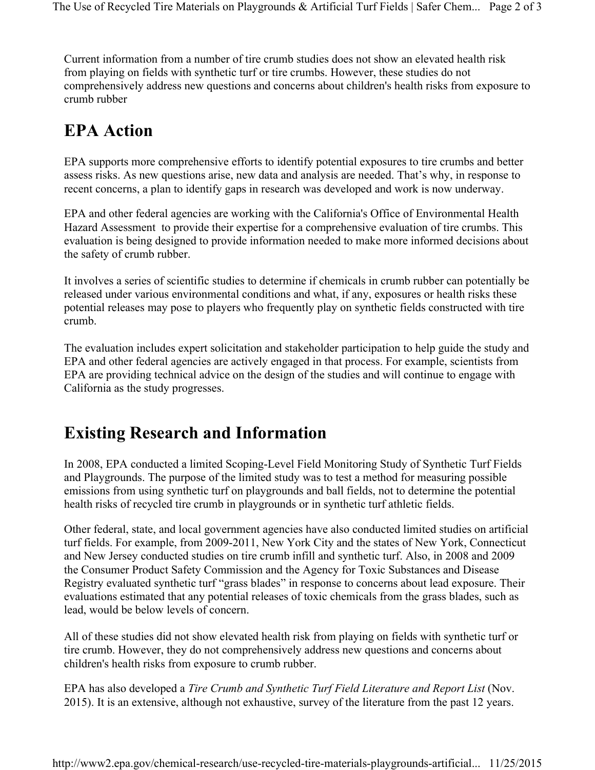Current information from a number of tire crumb studies does not show an elevated health risk from playing on fields with synthetic turf or tire crumbs. However, these studies do not comprehensively address new questions and concerns about children's health risks from exposure to crumb rubber

### **EPA Action**

EPA supports more comprehensive efforts to identify potential exposures to tire crumbs and better assess risks. As new questions arise, new data and analysis are needed. That's why, in response to recent concerns, a plan to identify gaps in research was developed and work is now underway.

EPA and other federal agencies are working with the California's Office of Environmental Health Hazard Assessment to provide their expertise for a comprehensive evaluation of tire crumbs. This evaluation is being designed to provide information needed to make more informed decisions about the safety of crumb rubber.

It involves a series of scientific studies to determine if chemicals in crumb rubber can potentially be released under various environmental conditions and what, if any, exposures or health risks these potential releases may pose to players who frequently play on synthetic fields constructed with tire crumb.

The evaluation includes expert solicitation and stakeholder participation to help guide the study and EPA and other federal agencies are actively engaged in that process. For example, scientists from EPA are providing technical advice on the design of the studies and will continue to engage with California as the study progresses.

## **Existing Research and Information**

In 2008, EPA conducted a limited Scoping-Level Field Monitoring Study of Synthetic Turf Fields and Playgrounds. The purpose of the limited study was to test a method for measuring possible emissions from using synthetic turf on playgrounds and ball fields, not to determine the potential health risks of recycled tire crumb in playgrounds or in synthetic turf athletic fields.

Other federal, state, and local government agencies have also conducted limited studies on artificial turf fields. For example, from 2009-2011, New York City and the states of New York, Connecticut and New Jersey conducted studies on tire crumb infill and synthetic turf. Also, in 2008 and 2009 the Consumer Product Safety Commission and the Agency for Toxic Substances and Disease Registry evaluated synthetic turf "grass blades" in response to concerns about lead exposure. Their evaluations estimated that any potential releases of toxic chemicals from the grass blades, such as lead, would be below levels of concern.

All of these studies did not show elevated health risk from playing on fields with synthetic turf or tire crumb. However, they do not comprehensively address new questions and concerns about children's health risks from exposure to crumb rubber.

EPA has also developed a *Tire Crumb and Synthetic Turf Field Literature and Report List* (Nov. 2015). It is an extensive, although not exhaustive, survey of the literature from the past 12 years.